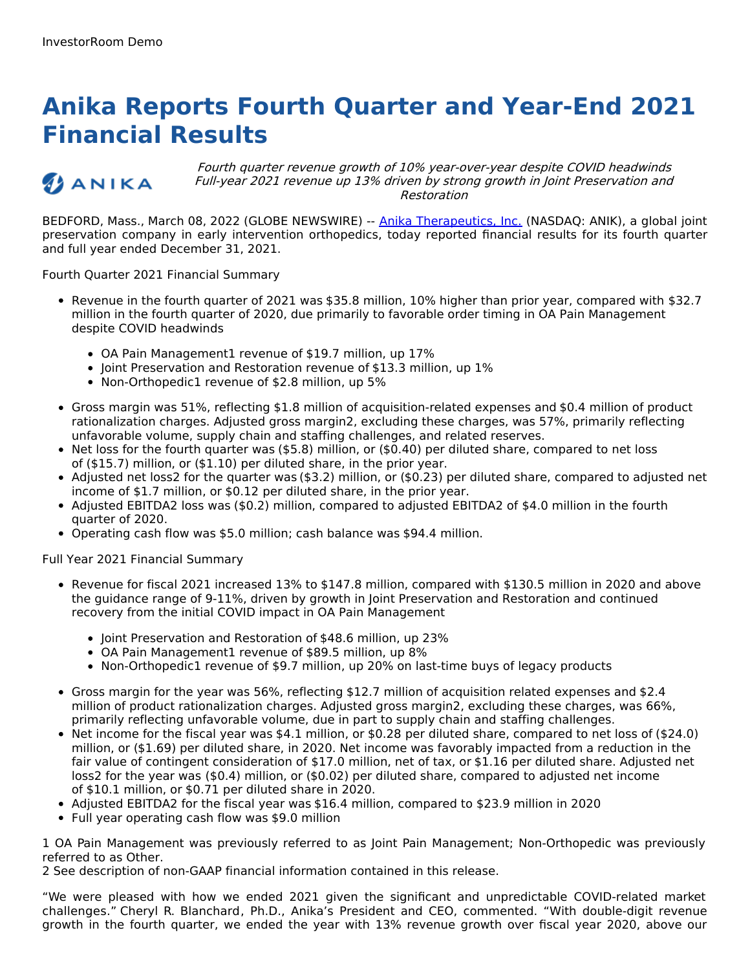# **Anika Reports Fourth Quarter and Year-End 2021 Financial Results**

## ANIKA

Fourth quarter revenue growth of 10% year-over-year despite COVID headwinds Full-year 2021 revenue up 13% driven by strong growth in Joint Preservation and Restoration

BEDFORD, Mass., March 08, 2022 (GLOBE NEWSWIRE) -- Anika [Therapeutics,](https://www.globenewswire.com/Tracker?data=R15QnTEE8xPZd0NtRkieEF0pp8d8UncC3wA0zVJ_OGdo3TWMB8y8MQ_se10LeKN2FBe9TuK0efi0bLXx3QsiSrUqBBVHatulB_7dRlt4ITs=) Inc. (NASDAQ: ANIK), a global joint preservation company in early intervention orthopedics, today reported financial results for its fourth quarter and full year ended December 31, 2021.

Fourth Quarter 2021 Financial Summary

- Revenue in the fourth quarter of 2021 was \$35.8 million, 10% higher than prior year, compared with \$32.7 million in the fourth quarter of 2020, due primarily to favorable order timing in OA Pain Management despite COVID headwinds
	- OA Pain Management1 revenue of \$19.7 million, up 17%
	- Joint Preservation and Restoration revenue of \$13.3 million, up 1%
	- Non-Orthopedic1 revenue of \$2.8 million, up 5%
- Gross margin was 51%, reflecting \$1.8 million of acquisition-related expenses and \$0.4 million of product rationalization charges. Adjusted gross margin2, excluding these charges, was 57%, primarily reflecting unfavorable volume, supply chain and staffing challenges, and related reserves.
- $\bullet$  Net loss for the fourth quarter was (\$5.8) million, or (\$0.40) per diluted share, compared to net loss of (\$15.7) million, or (\$1.10) per diluted share, in the prior year.
- Adjusted net loss2 for the quarter was (\$3.2) million, or (\$0.23) per diluted share, compared to adjusted net income of \$1.7 million, or \$0.12 per diluted share, in the prior year.
- Adjusted EBITDA2 loss was (\$0.2) million, compared to adjusted EBITDA2 of \$4.0 million in the fourth quarter of 2020.
- Operating cash flow was \$5.0 million; cash balance was \$94.4 million.

Full Year 2021 Financial Summary

- Revenue for fiscal 2021 increased 13% to \$147.8 million, compared with \$130.5 million in 2020 and above the guidance range of 9-11%, driven by growth in Joint Preservation and Restoration and continued recovery from the initial COVID impact in OA Pain Management
	- Joint Preservation and Restoration of \$48.6 million, up 23%
	- OA Pain Management1 revenue of \$89.5 million, up 8%
	- Non-Orthopedic1 revenue of \$9.7 million, up 20% on last-time buys of legacy products
- Gross margin for the year was 56%, reflecting \$12.7 million of acquisition related expenses and \$2.4 million of product rationalization charges. Adjusted gross margin2, excluding these charges, was 66%, primarily reflecting unfavorable volume, due in part to supply chain and staffing challenges.
- Net income for the fiscal year was \$4.1 million, or \$0.28 per diluted share, compared to net loss of (\$24.0) million, or (\$1.69) per diluted share, in 2020. Net income was favorably impacted from a reduction in the fair value of contingent consideration of \$17.0 million, net of tax, or \$1.16 per diluted share. Adjusted net loss2 for the year was (\$0.4) million, or (\$0.02) per diluted share, compared to adjusted net income of \$10.1 million, or \$0.71 per diluted share in 2020.
- Adjusted EBITDA2 for the fiscal year was \$16.4 million, compared to \$23.9 million in 2020
- Full year operating cash flow was \$9.0 million

1 OA Pain Management was previously referred to as Joint Pain Management; Non-Orthopedic was previously referred to as Other.

2 See description of non-GAAP financial information contained in this release.

"We were pleased with how we ended 2021 given the significant and unpredictable COVID-related market challenges." Cheryl R. Blanchard, Ph.D., Anika's President and CEO, commented. "With double-digit revenue growth in the fourth quarter, we ended the year with 13% revenue growth over fiscal year 2020, above our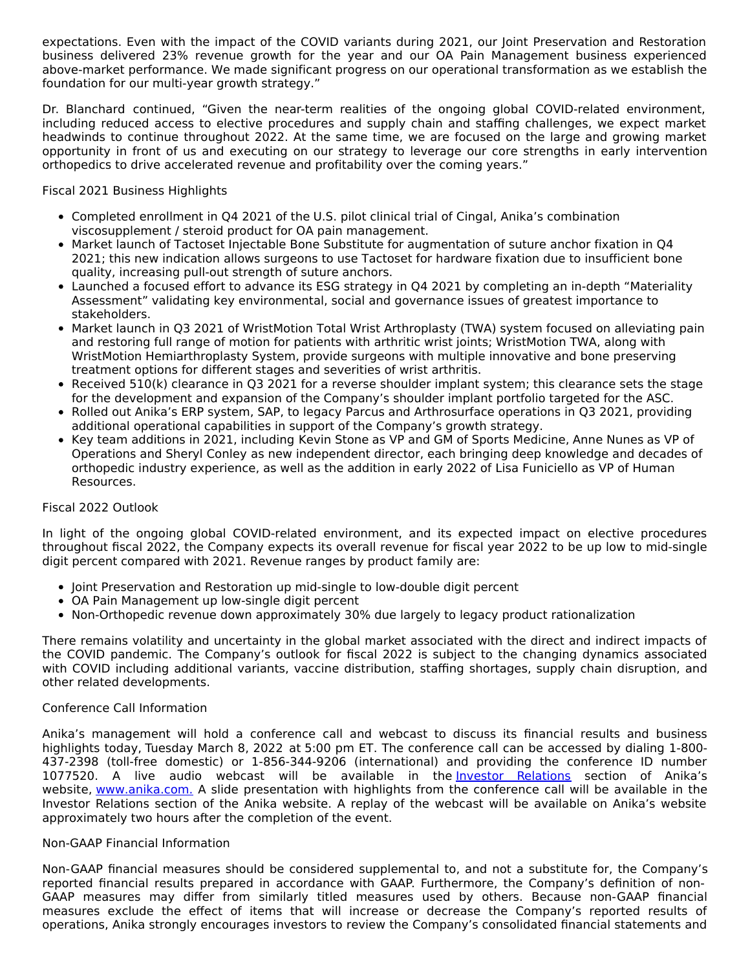expectations. Even with the impact of the COVID variants during 2021, our Joint Preservation and Restoration business delivered 23% revenue growth for the year and our OA Pain Management business experienced above-market performance. We made significant progress on our operational transformation as we establish the foundation for our multi-year growth strategy."

Dr. Blanchard continued, "Given the near-term realities of the ongoing global COVID-related environment, including reduced access to elective procedures and supply chain and staffing challenges, we expect market headwinds to continue throughout 2022. At the same time, we are focused on the large and growing market opportunity in front of us and executing on our strategy to leverage our core strengths in early intervention orthopedics to drive accelerated revenue and profitability over the coming years."

Fiscal 2021 Business Highlights

- Completed enrollment in Q4 2021 of the U.S. pilot clinical trial of Cingal, Anika's combination viscosupplement / steroid product for OA pain management.
- Market launch of Tactoset Injectable Bone Substitute for augmentation of suture anchor fixation in Q4 2021; this new indication allows surgeons to use Tactoset for hardware fixation due to insufficient bone quality, increasing pull-out strength of suture anchors.
- Launched a focused effort to advance its ESG strategy in Q4 2021 by completing an in-depth "Materiality Assessment" validating key environmental, social and governance issues of greatest importance to stakeholders.
- Market launch in Q3 2021 of WristMotion Total Wrist Arthroplasty (TWA) system focused on alleviating pain and restoring full range of motion for patients with arthritic wrist joints; WristMotion TWA, along with WristMotion Hemiarthroplasty System, provide surgeons with multiple innovative and bone preserving treatment options for different stages and severities of wrist arthritis.
- Received 510(k) clearance in Q3 2021 for a reverse shoulder implant system; this clearance sets the stage for the development and expansion of the Company's shoulder implant portfolio targeted for the ASC.
- Rolled out Anika's ERP system, SAP, to legacy Parcus and Arthrosurface operations in Q3 2021, providing additional operational capabilities in support of the Company's growth strategy.
- Key team additions in 2021, including Kevin Stone as VP and GM of Sports Medicine, Anne Nunes as VP of Operations and Sheryl Conley as new independent director, each bringing deep knowledge and decades of orthopedic industry experience, as well as the addition in early 2022 of Lisa Funiciello as VP of Human Resources.

## Fiscal 2022 Outlook

In light of the ongoing global COVID-related environment, and its expected impact on elective procedures throughout fiscal 2022, the Company expects its overall revenue for fiscal year 2022 to be up low to mid-single digit percent compared with 2021. Revenue ranges by product family are:

- Joint Preservation and Restoration up mid-single to low-double digit percent
- OA Pain Management up low-single digit percent
- Non-Orthopedic revenue down approximately 30% due largely to legacy product rationalization

There remains volatility and uncertainty in the global market associated with the direct and indirect impacts of the COVID pandemic. The Company's outlook for fiscal 2022 is subject to the changing dynamics associated with COVID including additional variants, vaccine distribution, staffing shortages, supply chain disruption, and other related developments.

## Conference Call Information

Anika's management will hold a conference call and webcast to discuss its financial results and business highlights today, Tuesday March 8, 2022 at 5:00 pm ET. The conference call can be accessed by dialing 1-800- 437-2398 (toll-free domestic) or 1-856-344-9206 (international) and providing the conference ID number 1077520. A live audio webcast will be available in the Investor [Relations](https://www.globenewswire.com/Tracker?data=_04nhBn9Hw5V-kfbbJEaCHMoUh-0BHTuqTukoR0NQDL94KYbrSbh_5DNVdiIJBd2M6uBKyIArZEbygfINN2enig5GfyMlKlcp_YFfBxWd4w=) section of Anika's website, [www.anika.com](https://www.globenewswire.com/Tracker?data=SzrEzXMiaT6IRyaWbJmUFYXnPwODRNoAkmtcsz6saQHwVpUmOJf6uP6meWwQ9ay8vHh4ey5o7iJHwuSoRh_hLg==)[.](https://www.globenewswire.com/Tracker?data=KJBlbu9Dp_bKQk_IDOVU494MqwyL2OfWGQsMXua9NBf75aesItbme7skGPOV-hYwIcqqXIBRAkRYHdapNyRp6YJc2PB3Pu3J2jBucnLphFI=) A slide presentation with highlights from the conference call will be available in the Investor Relations section of the Anika website. A replay of the webcast will be available on Anika's website approximately two hours after the completion of the event.

#### Non-GAAP Financial Information

Non-GAAP financial measures should be considered supplemental to, and not a substitute for, the Company's reported financial results prepared in accordance with GAAP. Furthermore, the Company's definition of non-GAAP measures may differ from similarly titled measures used by others. Because non-GAAP financial measures exclude the effect of items that will increase or decrease the Company's reported results of operations, Anika strongly encourages investors to review the Company's consolidated financial statements and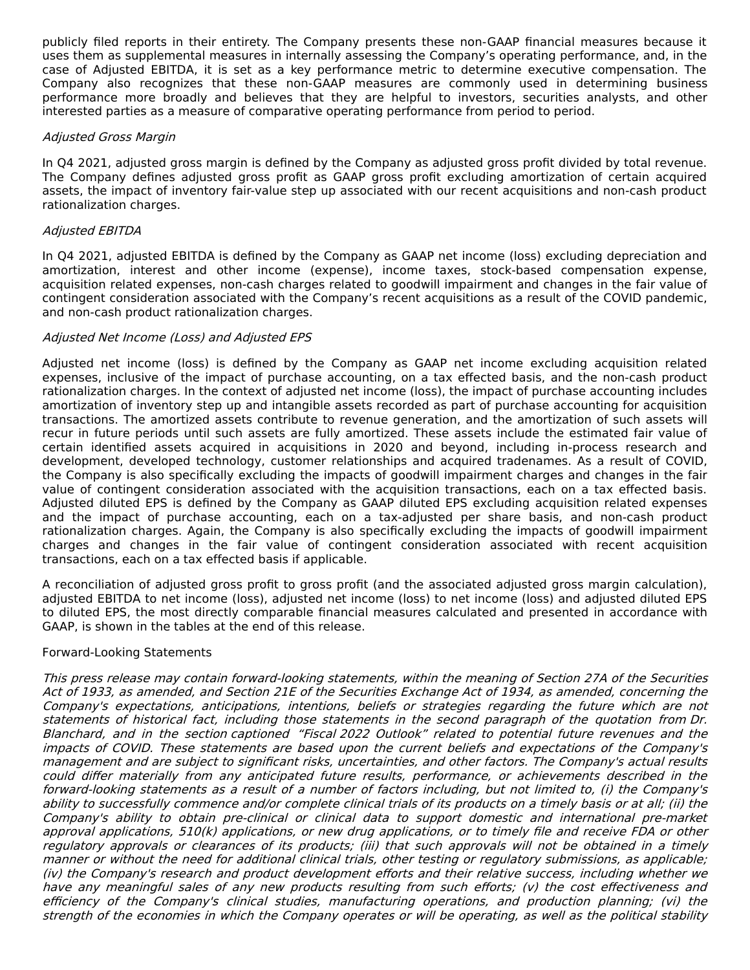publicly filed reports in their entirety. The Company presents these non-GAAP financial measures because it uses them as supplemental measures in internally assessing the Company's operating performance, and, in the case of Adjusted EBITDA, it is set as a key performance metric to determine executive compensation. The Company also recognizes that these non-GAAP measures are commonly used in determining business performance more broadly and believes that they are helpful to investors, securities analysts, and other interested parties as a measure of comparative operating performance from period to period.

### Adjusted Gross Margin

In Q4 2021, adjusted gross margin is defined by the Company as adjusted gross profit divided by total revenue. The Company defines adjusted gross profit as GAAP gross profit excluding amortization of certain acquired assets, the impact of inventory fair-value step up associated with our recent acquisitions and non-cash product rationalization charges.

### Adjusted EBITDA

In Q4 2021, adjusted EBITDA is defined by the Company as GAAP net income (loss) excluding depreciation and amortization, interest and other income (expense), income taxes, stock-based compensation expense, acquisition related expenses, non-cash charges related to goodwill impairment and changes in the fair value of contingent consideration associated with the Company's recent acquisitions as a result of the COVID pandemic, and non-cash product rationalization charges.

## Adjusted Net Income (Loss) and Adjusted EPS

Adjusted net income (loss) is defined by the Company as GAAP net income excluding acquisition related expenses, inclusive of the impact of purchase accounting, on a tax effected basis, and the non-cash product rationalization charges. In the context of adjusted net income (loss), the impact of purchase accounting includes amortization of inventory step up and intangible assets recorded as part of purchase accounting for acquisition transactions. The amortized assets contribute to revenue generation, and the amortization of such assets will recur in future periods until such assets are fully amortized. These assets include the estimated fair value of certain identified assets acquired in acquisitions in 2020 and beyond, including in-process research and development, developed technology, customer relationships and acquired tradenames. As a result of COVID, the Company is also specifically excluding the impacts of goodwill impairment charges and changes in the fair value of contingent consideration associated with the acquisition transactions, each on a tax effected basis. Adjusted diluted EPS is defined by the Company as GAAP diluted EPS excluding acquisition related expenses and the impact of purchase accounting, each on a tax-adjusted per share basis, and non-cash product rationalization charges. Again, the Company is also specifically excluding the impacts of goodwill impairment charges and changes in the fair value of contingent consideration associated with recent acquisition transactions, each on a tax effected basis if applicable.

A reconciliation of adjusted gross profit to gross profit (and the associated adjusted gross margin calculation), adjusted EBITDA to net income (loss), adjusted net income (loss) to net income (loss) and adjusted diluted EPS to diluted EPS, the most directly comparable financial measures calculated and presented in accordance with GAAP, is shown in the tables at the end of this release.

#### Forward-Looking Statements

This press release may contain forward-looking statements, within the meaning of Section 27A of the Securities Act of 1933, as amended, and Section 21E of the Securities Exchange Act of 1934, as amended, concerning the Company's expectations, anticipations, intentions, beliefs or strategies regarding the future which are not statements of historical fact, including those statements in the second paragraph of the quotation from Dr. Blanchard, and in the section captioned "Fiscal 2022 Outlook" related to potential future revenues and the impacts of COVID. These statements are based upon the current beliefs and expectations of the Company's management and are subject to significant risks, uncertainties, and other factors. The Company's actual results could differ materially from any anticipated future results, performance, or achievements described in the forward-looking statements as <sup>a</sup> result of <sup>a</sup> number of factors including, but not limited to, (i) the Company's ability to successfully commence and/or complete clinical trials of its products on <sup>a</sup> timely basis or at all; (ii) the Company's ability to obtain pre-clinical or clinical data to support domestic and international pre-market approval applications, 510(k) applications, or new drug applications, or to timely file and receive FDA or other regulatory approvals or clearances of its products; (iii) that such approvals will not be obtained in <sup>a</sup> timely manner or without the need for additional clinical trials, other testing or regulatory submissions, as applicable; (iv) the Company's research and product development efforts and their relative success, including whether we have any meaningful sales of any new products resulting from such efforts; (v) the cost effectiveness and efficiency of the Company's clinical studies, manufacturing operations, and production planning; (vi) the strength of the economies in which the Company operates or will be operating, as well as the political stability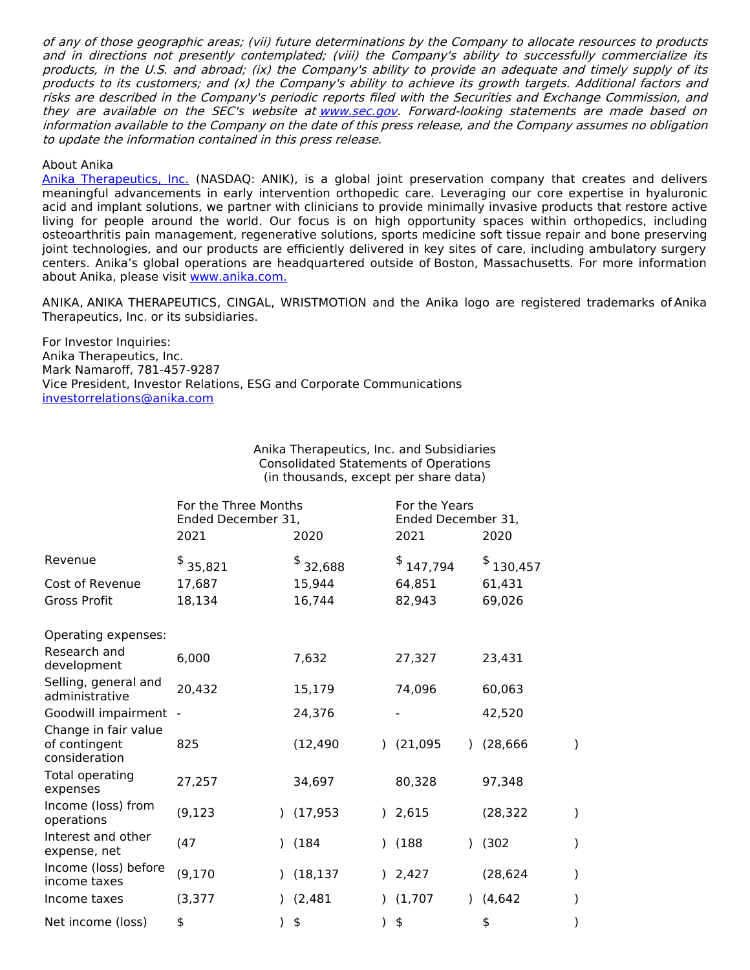of any of those geographic areas; (vii) future determinations by the Company to allocate resources to products and in directions not presently contemplated; (viii) the Company's ability to successfully commercialize its products, in the U.S. and abroad; (ix) the Company's ability to provide an adequate and timely supply of its products to its customers; and (x) the Company's ability to achieve its growth targets. Additional factors and risks are described in the Company's periodic reports filed with the Securities and Exchange Commission, and they are available on the SEC's website at [www.sec.gov](https://www.globenewswire.com/Tracker?data=CbhzH1rXg2CxdR3fzIl-YhHaaXLamlnZTY38K4NhiEYyFZ0DynFFCwDOTQWySIcn3QZ8MBpIxjaKjbRvMouNOA==). Forward-looking statements are made based on information available to the Company on the date of this press release, and the Company assumes no obligation to update the information contained in this press release.

#### About Anika

Anika [Therapeutics,](https://www.globenewswire.com/Tracker?data=R15QnTEE8xPZd0NtRkieEF0pp8d8UncC3wA0zVJ_OGcZrguNCTyIwqiU8005QEibkGX94cDm5nCozFn-fz-_dUpnhrl2LLtaNA532ccSD-4=) Inc. (NASDAQ: ANIK), is a global joint preservation company that creates and delivers meaningful advancements in early intervention orthopedic care. Leveraging our core expertise in hyaluronic acid and implant solutions, we partner with clinicians to provide minimally invasive products that restore active living for people around the world. Our focus is on high opportunity spaces within orthopedics, including osteoarthritis pain management, regenerative solutions, sports medicine soft tissue repair and bone preserving joint technologies, and our products are efficiently delivered in key sites of care, including ambulatory surgery centers. Anika's global operations are headquartered outside of Boston, Massachusetts. For more information about Anika, please visit [www.anika.com](https://www.globenewswire.com/Tracker?data=SzrEzXMiaT6IRyaWbJmUFQWp-42aDtIpZOkL8Ok45jKIsK9krG3SypQJVYAwGGp2LYaX3nz3x-SEgitw3Vra6Q==)[.](https://www.globenewswire.com/Tracker?data=T99b_ZhTjf-sIBm0wvJ5of8QyEdhS4FPfiVaaUejzrRryD7q8IvB-vNpUr1t-DhqbB0OeWR2ECG7Xd4VXdKL4Q==)

ANIKA, ANIKA THERAPEUTICS, CINGAL, WRISTMOTION and the Anika logo are registered trademarks of Anika Therapeutics, Inc. or its subsidiaries.

For Investor Inquiries: Anika Therapeutics, Inc. Mark Namaroff, 781-457-9287 Vice President, Investor Relations, ESG and Corporate Communications [investorrelations@anika.com](https://www.globenewswire.com/Tracker?data=OeJM-l9qSzJLO7WFhFXZmIQTM8gRF66WlWS06m9lBP5lNsBNBDedP6Yz13oWsX2b7IiKP5DOUBIGSkcFOWNRu9OtNxqtcy88lLNkp0k7_DoQnCqZkm5NLSSrsHKf4lov)

#### Anika Therapeutics, Inc. and Subsidiaries Consolidated Statements of Operations (in thousands, except per share data)

|                                                        | For the Three Months<br>Ended December 31,<br>2021 | 2020      | For the Years<br>Ended December 31,<br>2021<br>2020 |               |               |           |               |
|--------------------------------------------------------|----------------------------------------------------|-----------|-----------------------------------------------------|---------------|---------------|-----------|---------------|
| Revenue                                                | \$<br>35,821                                       | 32,688    |                                                     | \$<br>147,794 |               | \$130,457 |               |
| Cost of Revenue                                        | 17,687                                             | 15,944    |                                                     | 64,851        |               | 61,431    |               |
| <b>Gross Profit</b>                                    | 18,134                                             | 16,744    |                                                     | 82,943        |               | 69,026    |               |
| Operating expenses:                                    |                                                    |           |                                                     |               |               |           |               |
| Research and<br>development                            | 6,000                                              | 7,632     |                                                     | 27,327        |               | 23,431    |               |
| Selling, general and<br>administrative                 | 20,432                                             | 15,179    |                                                     | 74,096        |               | 60,063    |               |
| Goodwill impairment                                    |                                                    | 24,376    |                                                     |               |               | 42,520    |               |
| Change in fair value<br>of contingent<br>consideration | 825                                                | (12, 490) |                                                     | (21,095)      |               | (28, 666) | $\mathcal{C}$ |
| Total operating<br>expenses                            | 27,257                                             | 34,697    |                                                     | 80,328        |               | 97,348    |               |
| Income (loss) from<br>operations                       | (9, 123)                                           | (17, 953) |                                                     | ) 2,615       |               | (28, 322) |               |
| Interest and other<br>expense, net                     | (47)                                               | (184)     | 1                                                   | (188)         | $\mathcal{L}$ | (302)     | )             |
| Income (loss) before<br>income taxes                   | (9, 170)                                           | (18, 137) |                                                     | ) 2,427       |               | (28, 624) | )             |
| Income taxes                                           | (3, 377)                                           | (2, 481)  |                                                     | (1,707)       | $\mathcal{L}$ | (4, 642)  | )             |
| Net income (loss)                                      | \$                                                 | \$        |                                                     | \$            |               | \$        |               |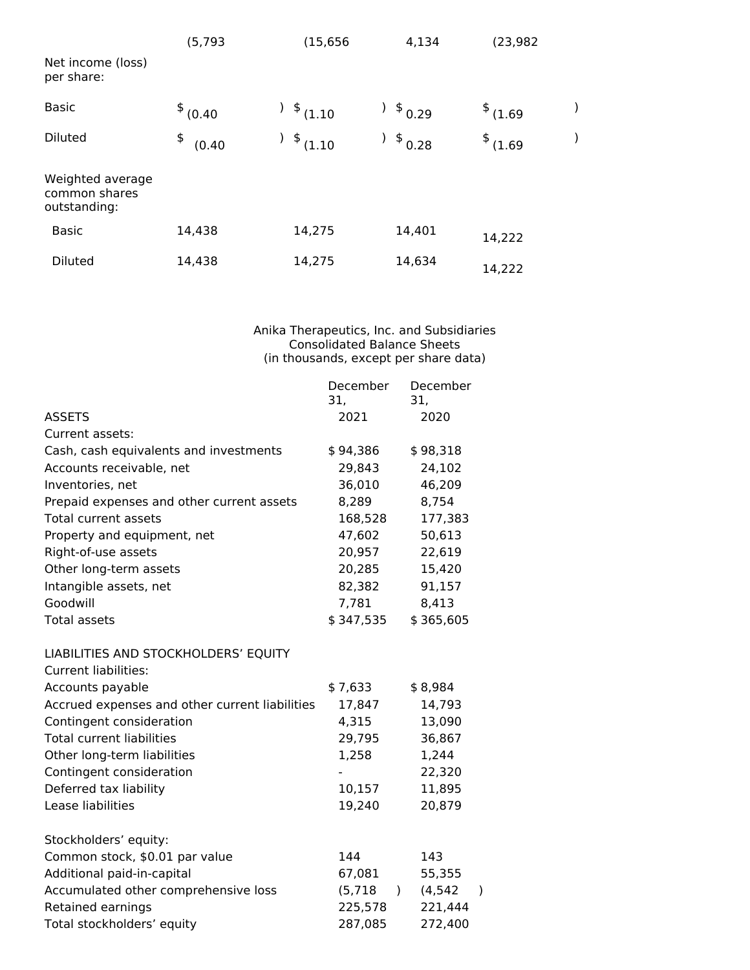|                                                   | (5, 793)      | (15, 656)    | 4,134       | (23, 982)     |  |
|---------------------------------------------------|---------------|--------------|-------------|---------------|--|
| Net income (loss)<br>per share:                   |               |              |             |               |  |
| <b>Basic</b>                                      | $$^{6}$ (0.40 | $$^{(1.10)}$ | \$0.29      | $$^{4}(1.69)$ |  |
| <b>Diluted</b>                                    | \$<br>(0.40)  | $$^{(1.10)}$ | \$0.28<br>) | $$^{4}(1.69)$ |  |
| Weighted average<br>common shares<br>outstanding: |               |              |             |               |  |
| <b>Basic</b>                                      | 14,438        | 14,275       | 14,401      | 14,222        |  |
| <b>Diluted</b>                                    | 14,438        | 14,275       | 14,634      | 14,222        |  |

Anika Therapeutics, Inc. and Subsidiaries Consolidated Balance Sheets (in thousands, except per share data)

|                                                | December<br>31, |               | December<br>31, |           |
|------------------------------------------------|-----------------|---------------|-----------------|-----------|
| <b>ASSETS</b>                                  | 2021            |               | 2020            |           |
| Current assets:                                |                 |               |                 |           |
| Cash, cash equivalents and investments         | \$94,386        |               | \$98,318        |           |
| Accounts receivable, net                       | 29,843          |               | 24,102          |           |
| Inventories, net                               | 36,010          |               | 46,209          |           |
| Prepaid expenses and other current assets      | 8,289           |               | 8,754           |           |
| <b>Total current assets</b>                    | 168,528         |               | 177,383         |           |
| Property and equipment, net                    | 47,602          |               | 50,613          |           |
| Right-of-use assets                            | 20,957          |               | 22,619          |           |
| Other long-term assets                         | 20,285          |               | 15,420          |           |
| Intangible assets, net                         | 82,382          |               | 91,157          |           |
| Goodwill                                       | 7,781           |               | 8,413           |           |
| <b>Total assets</b>                            | \$347,535       |               | \$365,605       |           |
| LIABILITIES AND STOCKHOLDERS' EQUITY           |                 |               |                 |           |
| <b>Current liabilities:</b>                    |                 |               |                 |           |
| Accounts payable                               | \$7,633         |               | \$8,984         |           |
| Accrued expenses and other current liabilities | 17,847          |               | 14,793          |           |
| Contingent consideration                       | 4,315           |               | 13,090          |           |
| <b>Total current liabilities</b>               | 29,795          |               | 36,867          |           |
| Other long-term liabilities                    | 1,258           |               | 1,244           |           |
| Contingent consideration                       |                 |               | 22,320          |           |
| Deferred tax liability                         | 10,157          |               | 11,895          |           |
| Lease liabilities                              | 19,240          |               | 20,879          |           |
| Stockholders' equity:                          |                 |               |                 |           |
| Common stock, \$0.01 par value                 | 144             |               | 143             |           |
| Additional paid-in-capital                     | 67,081          |               | 55,355          |           |
| Accumulated other comprehensive loss           | (5, 718)        | $\mathcal{L}$ | (4, 542)        | $\lambda$ |
| Retained earnings                              | 225,578         |               | 221,444         |           |
| Total stockholders' equity                     | 287,085         |               | 272,400         |           |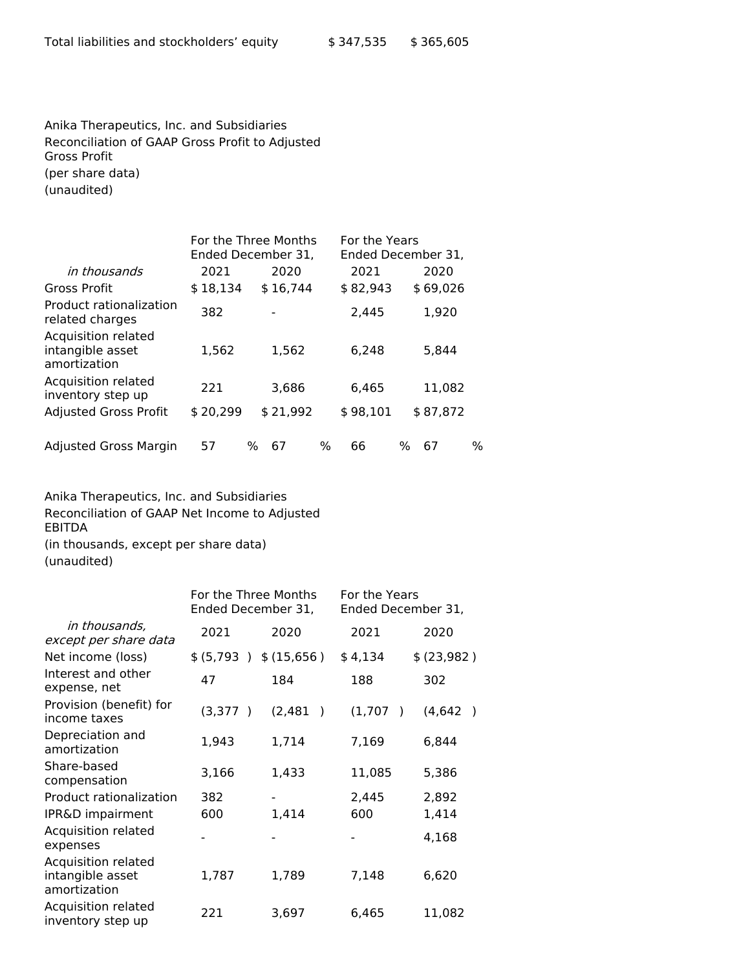Anika Therapeutics, Inc. and Subsidiaries Reconciliation of GAAP Gross Profit to Adjusted Gross Profit (per share data) (unaudited)

|                                                         |          | For the Three Months<br>Ended December 31, | For the Years | Ended December 31, |
|---------------------------------------------------------|----------|--------------------------------------------|---------------|--------------------|
| in thousands                                            | 2021     | 2020                                       | 2021          | 2020               |
| <b>Gross Profit</b>                                     | \$18,134 | \$16,744                                   | \$82,943      | \$69,026           |
| Product rationalization<br>related charges              | 382      | $\blacksquare$                             | 2,445         | 1,920              |
| Acquisition related<br>intangible asset<br>amortization | 1,562    | 1,562                                      | 6,248         | 5,844              |
| Acquisition related<br>inventory step up                | 221      | 3,686                                      | 6.465         | 11.082             |
| <b>Adjusted Gross Profit</b>                            | \$20,299 | \$21,992                                   | \$98,101      | \$87,872           |
| Adjusted Gross Margin                                   | 57       | ℅<br>67                                    | ℅<br>66       | %<br>%<br>67       |

Anika Therapeutics, Inc. and Subsidiaries

Reconciliation of GAAP Net Income to Adjusted EBITDA

(in thousands, except per share data)

(unaudited)

|                                                         | For the Three Months<br>Ended December 31, |                           | For the Years<br>Ended December 31, |                           |  |  |
|---------------------------------------------------------|--------------------------------------------|---------------------------|-------------------------------------|---------------------------|--|--|
| in thousands,<br>except per share data                  | 2021                                       | 2020                      | 2021                                | 2020                      |  |  |
| Net income (loss)                                       | \$ (5,793 ) \$ (15,656)                    |                           | \$4,134                             | \$ (23,982)               |  |  |
| Interest and other<br>expense, net                      | 47                                         | 184                       | 188                                 | 302                       |  |  |
| Provision (benefit) for<br>income taxes                 | (3,377)                                    | (2, 481)<br>$\rightarrow$ | (1,707)<br>$\lambda$                | (4, 642)<br>$\rightarrow$ |  |  |
| Depreciation and<br>amortization                        | 1,943                                      | 1,714                     | 7,169                               | 6,844                     |  |  |
| Share-based<br>compensation                             | 3,166                                      | 1,433                     | 11,085                              | 5,386                     |  |  |
| Product rationalization                                 | 382                                        |                           | 2,445                               | 2,892                     |  |  |
| IPR&D impairment                                        | 600                                        | 1,414                     | 600                                 | 1,414                     |  |  |
| Acquisition related<br>expenses                         |                                            |                           |                                     | 4,168                     |  |  |
| Acquisition related<br>intangible asset<br>amortization | 1,787                                      | 1,789                     | 7,148                               | 6,620                     |  |  |
| Acquisition related<br>inventory step up                | 221                                        | 3,697                     | 6,465                               | 11,082                    |  |  |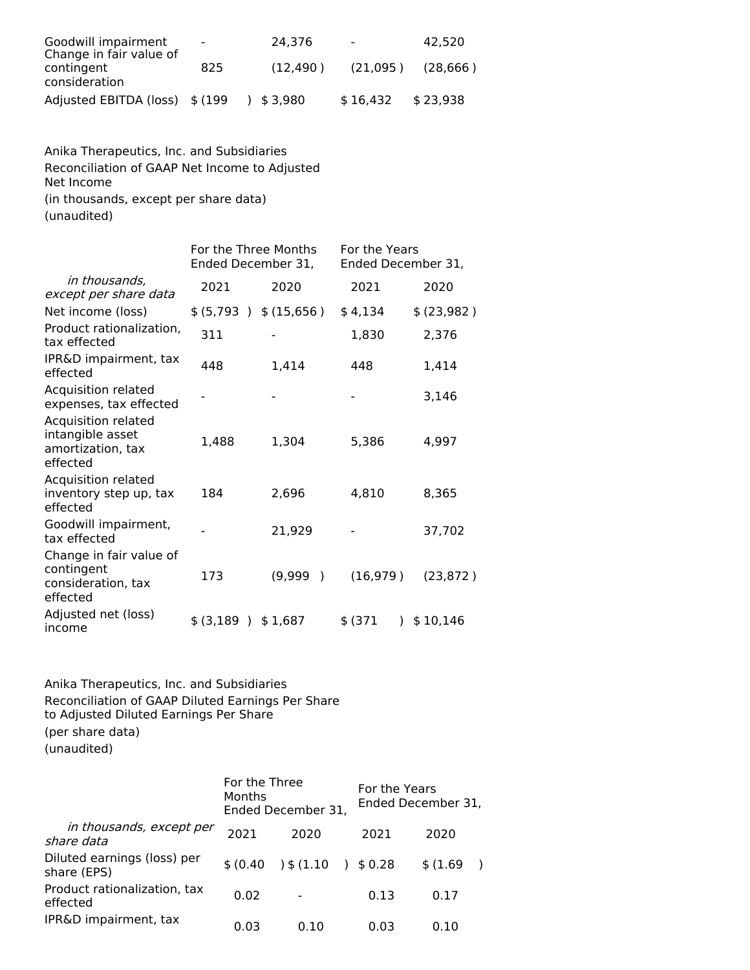| Goodwill impairment<br>Change in fair value of | $\sim$ 100 $\mu$ | 24.376   | $\sim 100$ | 42.520    |
|------------------------------------------------|------------------|----------|------------|-----------|
| contingent<br>consideration                    | 825              | (12.490) | (21,095)   | (28, 666) |
| Adjusted EBITDA (loss) \$ (199                 |                  | 3.980    | \$16,432   | \$23.938  |

Anika Therapeutics, Inc. and Subsidiaries Reconciliation of GAAP Net Income to Adjusted Net Income (in thousands, except per share data) (unaudited)

|                                                                          | For the Three Months<br>Ended December 31, |                          | For the Years<br>Ended December 31, |             |  |  |
|--------------------------------------------------------------------------|--------------------------------------------|--------------------------|-------------------------------------|-------------|--|--|
| in thousands,<br>except per share data                                   | 2021                                       | 2020                     | 2021                                | 2020        |  |  |
| Net income (loss)                                                        | \$ (5,793 ) \$ (15,656)                    |                          | \$4,134                             | \$ (23,982) |  |  |
| Product rationalization,<br>tax effected                                 | 311                                        |                          | 1,830                               | 2,376       |  |  |
| IPR&D impairment, tax<br>effected                                        | 448                                        | 1,414                    | 448                                 | 1,414       |  |  |
| Acquisition related<br>expenses, tax effected                            |                                            |                          |                                     | 3,146       |  |  |
| Acquisition related<br>intangible asset<br>amortization, tax<br>effected | 1,488                                      | 1,304                    | 5,386                               | 4,997       |  |  |
| Acquisition related<br>inventory step up, tax<br>effected                | 184                                        | 2,696                    | 4,810                               | 8,365       |  |  |
| Goodwill impairment,<br>tax effected                                     |                                            | 21,929                   |                                     | 37,702      |  |  |
| Change in fair value of<br>contingent<br>consideration, tax<br>effected  | 173                                        | (9,999)<br>$\rightarrow$ | (16, 979)                           | (23, 872)   |  |  |
| Adjusted net (loss)<br>income                                            | \$ (3,189)                                 | \$1,687                  | \$(371<br>$\mathcal{L}$             | \$10,146    |  |  |

Anika Therapeutics, Inc. and Subsidiaries Reconciliation of GAAP Diluted Earnings Per Share to Adjusted Diluted Earnings Per Share (per share data) (unaudited)

|                                            | For the Three<br>Months | Ended December 31, |                     | For the Years<br>Ended December 31, |  |  |  |
|--------------------------------------------|-------------------------|--------------------|---------------------|-------------------------------------|--|--|--|
| in thousands, except per<br>share data     | 2021                    | 2020               | 2021                | 2020                                |  |  |  |
| Diluted earnings (loss) per<br>share (EPS) | \$ (0.40)               | 3 (1.10)           | \$0.28<br>$\lambda$ | \$(1.69)                            |  |  |  |
| Product rationalization, tax<br>effected   | 0.02                    |                    | 0.13                | 0.17                                |  |  |  |
| IPR&D impairment, tax                      | 0.03                    | 0.10               | 0.03                | 0.10                                |  |  |  |